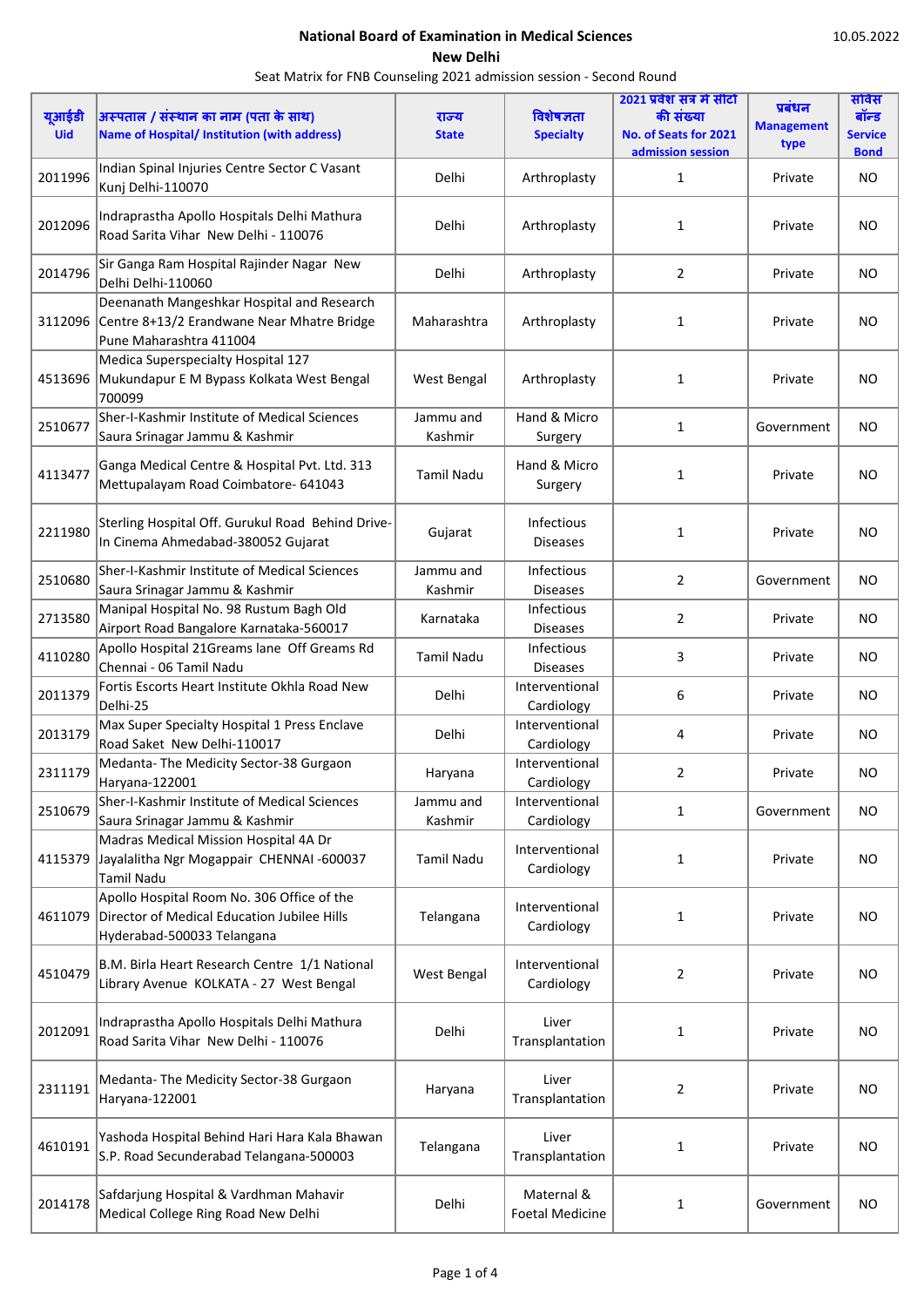| यूआईडी<br><b>Uid</b> | अस्पताल / संस्थान का नाम (पता के साथ)<br><b>Name of Hospital/ Institution (with address)</b>                            | राज्य<br><b>State</b> | विशेषज्ञता<br><b>Specialty</b>       | 2021 प्रवेश सत्र में सीटो<br>की संख्या<br>No. of Seats for 2021 | प्रबंधन<br><b>Management</b><br>type | सविस<br>बॉन्ड<br><b>Service</b> |
|----------------------|-------------------------------------------------------------------------------------------------------------------------|-----------------------|--------------------------------------|-----------------------------------------------------------------|--------------------------------------|---------------------------------|
| 2011996              | Indian Spinal Injuries Centre Sector C Vasant<br>Kunj Delhi-110070                                                      | Delhi                 | Arthroplasty                         | admission session<br>$\mathbf{1}$                               | Private                              | <b>Bond</b><br><b>NO</b>        |
| 2012096              | Indraprastha Apollo Hospitals Delhi Mathura<br>Road Sarita Vihar New Delhi - 110076                                     | Delhi                 | Arthroplasty                         | 1                                                               | Private                              | <b>NO</b>                       |
| 2014796              | Sir Ganga Ram Hospital Rajinder Nagar New<br>Delhi Delhi-110060                                                         | Delhi                 | Arthroplasty                         | 2                                                               | Private                              | <b>NO</b>                       |
| 3112096              | Deenanath Mangeshkar Hospital and Research<br>Centre 8+13/2 Erandwane Near Mhatre Bridge<br>Pune Maharashtra 411004     | Maharashtra           | Arthroplasty                         | 1                                                               | Private                              | <b>NO</b>                       |
|                      | Medica Superspecialty Hospital 127<br>4513696 Mukundapur E M Bypass Kolkata West Bengal<br>700099                       | West Bengal           | Arthroplasty                         | 1                                                               | Private                              | NO.                             |
| 2510677              | Sher-I-Kashmir Institute of Medical Sciences<br>Saura Srinagar Jammu & Kashmir                                          | Jammu and<br>Kashmir  | Hand & Micro<br>Surgery              | 1                                                               | Government                           | <b>NO</b>                       |
| 4113477              | Ganga Medical Centre & Hospital Pvt. Ltd. 313<br>Mettupalayam Road Coimbatore- 641043                                   | <b>Tamil Nadu</b>     | Hand & Micro<br>Surgery              | 1                                                               | Private                              | <b>NO</b>                       |
| 2211980              | Sterling Hospital Off. Gurukul Road Behind Drive-<br>In Cinema Ahmedabad-380052 Gujarat                                 | Gujarat               | Infectious<br><b>Diseases</b>        | 1                                                               | Private                              | <b>NO</b>                       |
| 2510680              | Sher-I-Kashmir Institute of Medical Sciences<br>Saura Srinagar Jammu & Kashmir                                          | Jammu and<br>Kashmir  | Infectious<br><b>Diseases</b>        | $\overline{2}$                                                  | Government                           | <b>NO</b>                       |
| 2713580              | Manipal Hospital No. 98 Rustum Bagh Old<br>Airport Road Bangalore Karnataka-560017                                      | Karnataka             | Infectious<br><b>Diseases</b>        | $\overline{2}$                                                  | Private                              | NO.                             |
| 4110280              | Apollo Hospital 21Greams lane Off Greams Rd<br>Chennai - 06 Tamil Nadu                                                  | <b>Tamil Nadu</b>     | Infectious<br><b>Diseases</b>        | 3                                                               | Private                              | <b>NO</b>                       |
| 2011379              | Fortis Escorts Heart Institute Okhla Road New<br>Delhi-25                                                               | Delhi                 | Interventional<br>Cardiology         | 6                                                               | Private                              | NO.                             |
| 2013179              | Max Super Specialty Hospital 1 Press Enclave<br>Road Saket New Delhi-110017                                             | Delhi                 | Interventional<br>Cardiology         | 4                                                               | Private                              | <b>NO</b>                       |
| 2311179              | Medanta-The Medicity Sector-38 Gurgaon<br>Haryana-122001                                                                | Haryana               | Interventional<br>Cardiology         | 2                                                               | Private                              | <b>NO</b>                       |
| 2510679              | Sher-I-Kashmir Institute of Medical Sciences<br>Saura Srinagar Jammu & Kashmir                                          | Jammu and<br>Kashmir  | Interventional<br>Cardiology         | $\mathbf{1}$                                                    | Government                           | NO                              |
| 4115379              | Madras Medical Mission Hospital 4A Dr<br>Jayalalitha Ngr Mogappair CHENNAI -600037<br><b>Tamil Nadu</b>                 | <b>Tamil Nadu</b>     | Interventional<br>Cardiology         | 1                                                               | Private                              | <b>NO</b>                       |
| 4611079              | Apollo Hospital Room No. 306 Office of the<br>Director of Medical Education Jubilee Hills<br>Hyderabad-500033 Telangana | Telangana             | Interventional<br>Cardiology         | 1                                                               | Private                              | <b>NO</b>                       |
| 4510479              | B.M. Birla Heart Research Centre 1/1 National<br>Library Avenue KOLKATA - 27 West Bengal                                | West Bengal           | Interventional<br>Cardiology         | $\overline{2}$                                                  | Private                              | <b>NO</b>                       |
| 2012091              | Indraprastha Apollo Hospitals Delhi Mathura<br>Road Sarita Vihar New Delhi - 110076                                     | Delhi                 | Liver<br>Transplantation             | 1                                                               | Private                              | <b>NO</b>                       |
| 2311191              | Medanta-The Medicity Sector-38 Gurgaon<br>Haryana-122001                                                                | Haryana               | Liver<br>Transplantation             | 2                                                               | Private                              | <b>NO</b>                       |
| 4610191              | Yashoda Hospital Behind Hari Hara Kala Bhawan<br>S.P. Road Secunderabad Telangana-500003                                | Telangana             | Liver<br>Transplantation             | 1                                                               | Private                              | <b>NO</b>                       |
| 2014178              | Safdarjung Hospital & Vardhman Mahavir<br>Medical College Ring Road New Delhi                                           | Delhi                 | Maternal &<br><b>Foetal Medicine</b> | 1                                                               | Government                           | <b>NO</b>                       |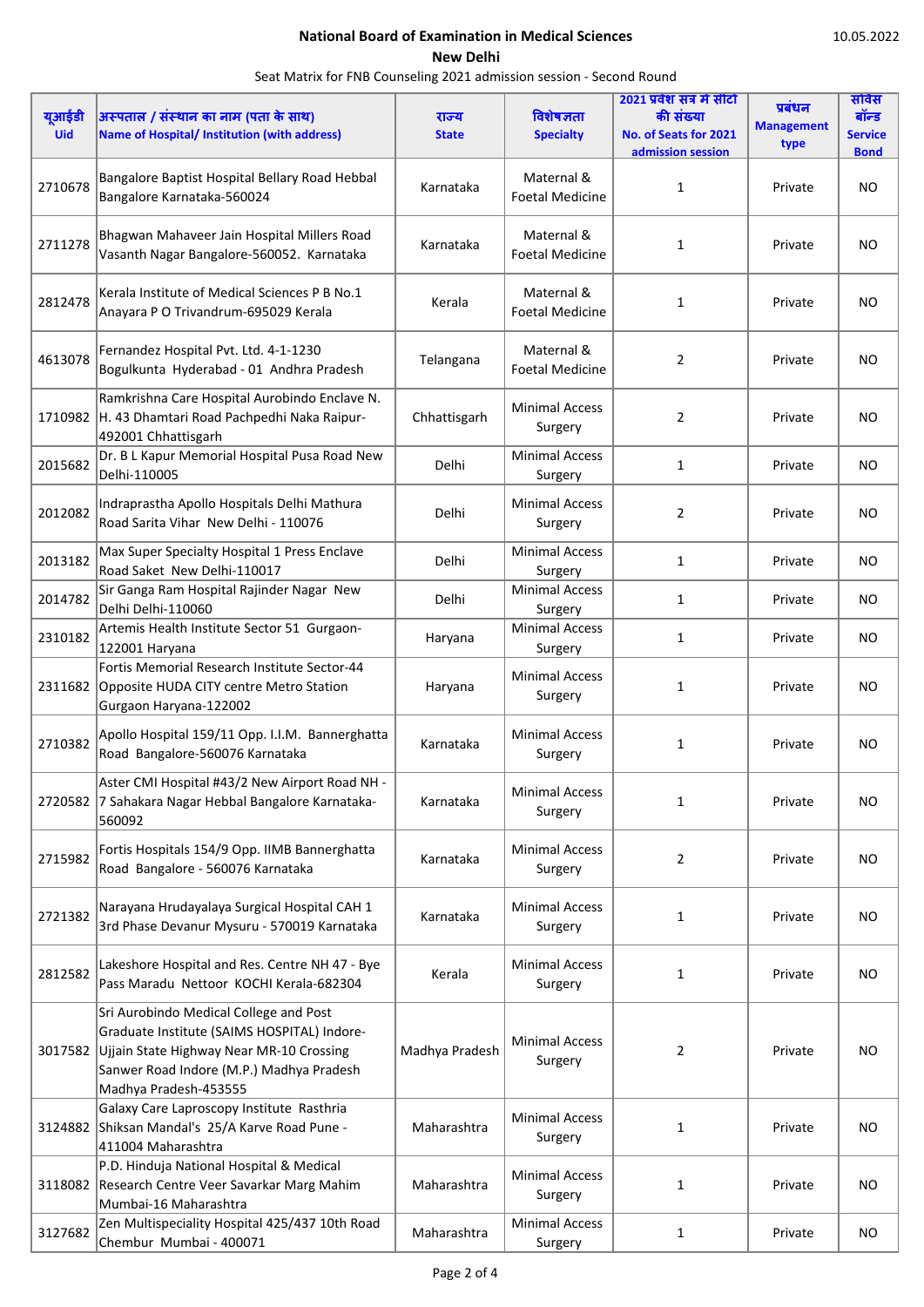| यूआईडी     | अस्पताल / संस्थान का नाम (पता के साथ)                                                                                                                                                                  | राज्य          | विशेषज्ञता                           | 2021 प्रवेश सत्र में सीटो<br>की संख्या | प्रबंधन                   | सविस<br>बॉन्ड      |
|------------|--------------------------------------------------------------------------------------------------------------------------------------------------------------------------------------------------------|----------------|--------------------------------------|----------------------------------------|---------------------------|--------------------|
| <b>Uid</b> | <b>Name of Hospital/ Institution (with address)</b>                                                                                                                                                    | <b>State</b>   | <b>Specialty</b>                     | No. of Seats for 2021                  | <b>Management</b><br>type | <b>Service</b>     |
| 2710678    | Bangalore Baptist Hospital Bellary Road Hebbal<br>Bangalore Karnataka-560024                                                                                                                           | Karnataka      | Maternal &<br><b>Foetal Medicine</b> | admission session<br>1                 | Private                   | <b>Bond</b><br>NO. |
| 2711278    | Bhagwan Mahaveer Jain Hospital Millers Road<br>Vasanth Nagar Bangalore-560052. Karnataka                                                                                                               | Karnataka      | Maternal &<br><b>Foetal Medicine</b> | 1                                      | Private                   | <b>NO</b>          |
| 2812478    | Kerala Institute of Medical Sciences P B No.1<br>Anayara P O Trivandrum-695029 Kerala                                                                                                                  | Kerala         | Maternal &<br><b>Foetal Medicine</b> | 1                                      | Private                   | <b>NO</b>          |
| 4613078    | Fernandez Hospital Pvt. Ltd. 4-1-1230<br>Bogulkunta Hyderabad - 01 Andhra Pradesh                                                                                                                      | Telangana      | Maternal &<br><b>Foetal Medicine</b> | 2                                      | Private                   | <b>NO</b>          |
| 1710982    | Ramkrishna Care Hospital Aurobindo Enclave N.<br>H. 43 Dhamtari Road Pachpedhi Naka Raipur-<br>492001 Chhattisgarh                                                                                     | Chhattisgarh   | <b>Minimal Access</b><br>Surgery     | 2                                      | Private                   | NO.                |
| 2015682    | Dr. B L Kapur Memorial Hospital Pusa Road New<br>Delhi-110005                                                                                                                                          | Delhi          | <b>Minimal Access</b><br>Surgery     | 1                                      | Private                   | <b>NO</b>          |
| 2012082    | Indraprastha Apollo Hospitals Delhi Mathura<br>Road Sarita Vihar New Delhi - 110076                                                                                                                    | Delhi          | <b>Minimal Access</b><br>Surgery     | 2                                      | Private                   | <b>NO</b>          |
| 2013182    | Max Super Specialty Hospital 1 Press Enclave<br>Road Saket New Delhi-110017                                                                                                                            | Delhi          | <b>Minimal Access</b><br>Surgery     | 1                                      | Private                   | <b>NO</b>          |
| 2014782    | Sir Ganga Ram Hospital Rajinder Nagar New<br>Delhi Delhi-110060                                                                                                                                        | Delhi          | <b>Minimal Access</b><br>Surgery     | 1                                      | Private                   | NO.                |
| 2310182    | Artemis Health Institute Sector 51 Gurgaon-<br>122001 Haryana                                                                                                                                          | Haryana        | <b>Minimal Access</b><br>Surgery     | 1                                      | Private                   | <b>NO</b>          |
| 2311682    | Fortis Memorial Research Institute Sector-44<br>Opposite HUDA CITY centre Metro Station<br>Gurgaon Haryana-122002                                                                                      | Haryana        | <b>Minimal Access</b><br>Surgery     | $\mathbf{1}$                           | Private                   | <b>NO</b>          |
| 2710382    | Apollo Hospital 159/11 Opp. I.I.M. Bannerghatta<br>Road Bangalore-560076 Karnataka                                                                                                                     | Karnataka      | <b>Minimal Access</b><br>Surgery     | 1                                      | Private                   | <b>NO</b>          |
|            | Aster CMI Hospital #43/2 New Airport Road NH -<br>2720582 7 Sahakara Nagar Hebbal Bangalore Karnataka-<br>560092                                                                                       | Karnataka      | <b>Minimal Access</b><br>Surgery     | $\mathbf{1}$                           | Private                   | <b>NO</b>          |
| 2715982    | Fortis Hospitals 154/9 Opp. IIMB Bannerghatta<br>Road Bangalore - 560076 Karnataka                                                                                                                     | Karnataka      | <b>Minimal Access</b><br>Surgery     | $\overline{2}$                         | Private                   | <b>NO</b>          |
| 2721382    | Narayana Hrudayalaya Surgical Hospital CAH 1<br>3rd Phase Devanur Mysuru - 570019 Karnataka                                                                                                            | Karnataka      | <b>Minimal Access</b><br>Surgery     | $\mathbf{1}$                           | Private                   | <b>NO</b>          |
| 2812582    | Lakeshore Hospital and Res. Centre NH 47 - Bye<br>Pass Maradu Nettoor KOCHI Kerala-682304                                                                                                              | Kerala         | <b>Minimal Access</b><br>Surgery     | 1                                      | Private                   | NO.                |
| 3017582    | Sri Aurobindo Medical College and Post<br>Graduate Institute (SAIMS HOSPITAL) Indore-<br>Ujjain State Highway Near MR-10 Crossing<br>Sanwer Road Indore (M.P.) Madhya Pradesh<br>Madhya Pradesh-453555 | Madhya Pradesh | <b>Minimal Access</b><br>Surgery     | 2                                      | Private                   | <b>NO</b>          |
| 3124882    | Galaxy Care Laproscopy Institute Rasthria<br>Shiksan Mandal's 25/A Karve Road Pune -<br>411004 Maharashtra                                                                                             | Maharashtra    | <b>Minimal Access</b><br>Surgery     | 1                                      | Private                   | <b>NO</b>          |
| 3118082    | P.D. Hinduja National Hospital & Medical<br>Research Centre Veer Savarkar Marg Mahim<br>Mumbai-16 Maharashtra                                                                                          | Maharashtra    | <b>Minimal Access</b><br>Surgery     | 1                                      | Private                   | <b>NO</b>          |
| 3127682    | Zen Multispeciality Hospital 425/437 10th Road<br>Chembur Mumbai - 400071                                                                                                                              | Maharashtra    | <b>Minimal Access</b><br>Surgery     | 1                                      | Private                   | NO.                |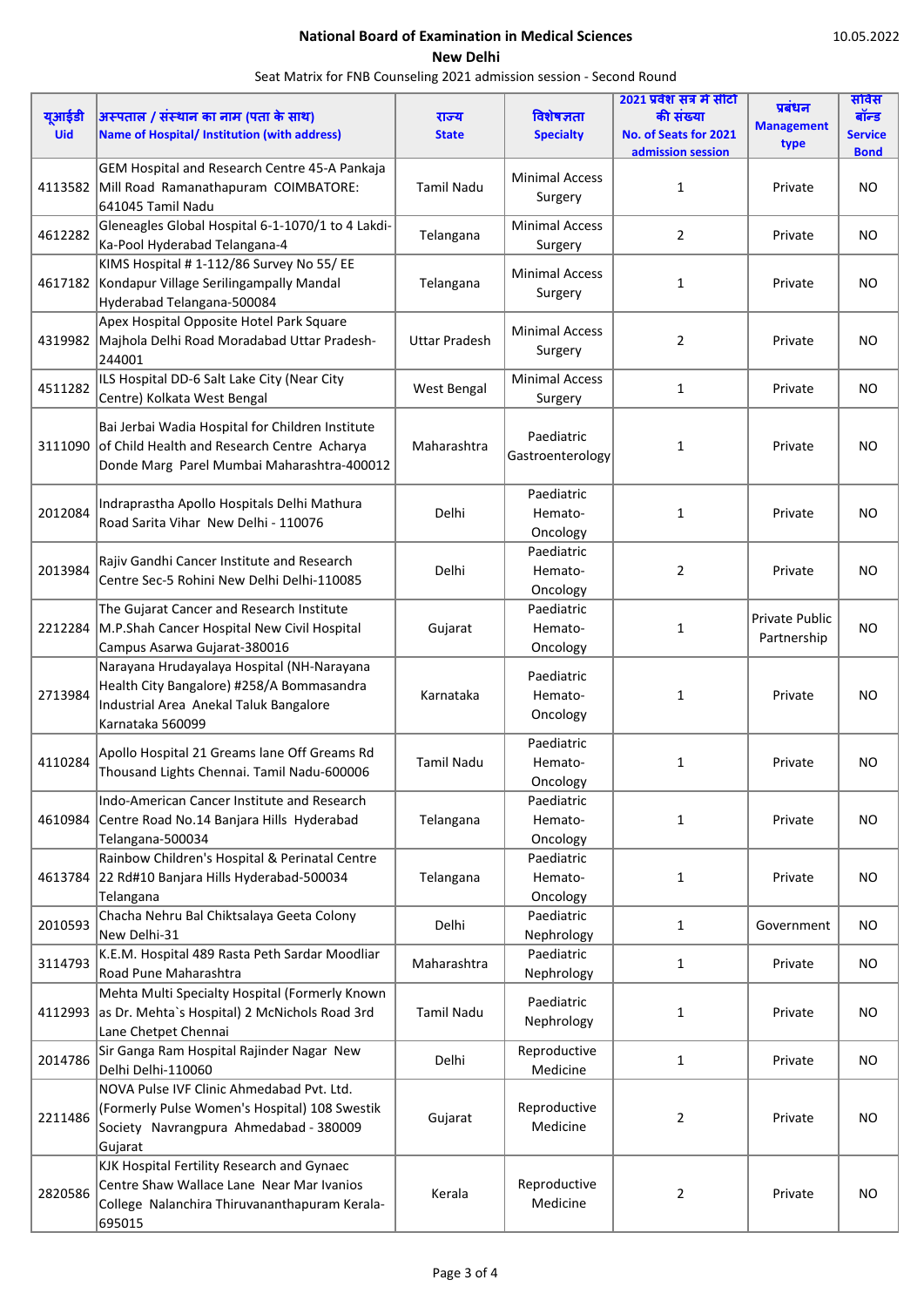|            |                                                     |                      |                          | 2021 प्रवेश सत्र में सीटो |                   | सविस           |
|------------|-----------------------------------------------------|----------------------|--------------------------|---------------------------|-------------------|----------------|
| यूआईडी     | अस्पताल / संस्थान का नाम (पता के साथ)               | राज्य                | विशेषज्ञता               | की संख्या                 | प्रबंधन           | बॉन्ड          |
| <b>Uid</b> | <b>Name of Hospital/ Institution (with address)</b> | <b>State</b>         | <b>Specialty</b>         | No. of Seats for 2021     | <b>Management</b> | <b>Service</b> |
|            |                                                     |                      |                          | admission session         | type              | <b>Bond</b>    |
|            | GEM Hospital and Research Centre 45-A Pankaja       |                      |                          |                           |                   |                |
| 4113582    | Mill Road Ramanathapuram COIMBATORE:                | <b>Tamil Nadu</b>    | <b>Minimal Access</b>    | 1                         | Private           | <b>NO</b>      |
|            | 641045 Tamil Nadu                                   |                      | Surgery                  |                           |                   |                |
|            |                                                     |                      |                          |                           |                   |                |
| 4612282    | Gleneagles Global Hospital 6-1-1070/1 to 4 Lakdi-   | Telangana            | <b>Minimal Access</b>    | 2                         | Private           | NO.            |
|            | Ka-Pool Hyderabad Telangana-4                       |                      | Surgery                  |                           |                   |                |
|            | KIMS Hospital #1-112/86 Survey No 55/EE             |                      | <b>Minimal Access</b>    |                           |                   |                |
|            | 4617182 Kondapur Village Serilingampally Mandal     | Telangana            |                          | 1                         | Private           | <b>NO</b>      |
|            | Hyderabad Telangana-500084                          |                      | Surgery                  |                           |                   |                |
|            | Apex Hospital Opposite Hotel Park Square            |                      |                          |                           |                   |                |
| 4319982    | Majhola Delhi Road Moradabad Uttar Pradesh-         | <b>Uttar Pradesh</b> | <b>Minimal Access</b>    | 2                         | Private           | <b>NO</b>      |
|            | 244001                                              |                      | Surgery                  |                           |                   |                |
|            | ILS Hospital DD-6 Salt Lake City (Near City         |                      | <b>Minimal Access</b>    |                           |                   |                |
| 4511282    |                                                     | West Bengal          |                          | $\mathbf{1}$              | Private           | <b>NO</b>      |
|            | Centre) Kolkata West Bengal                         |                      | Surgery                  |                           |                   |                |
|            | Bai Jerbai Wadia Hospital for Children Institute    |                      |                          |                           |                   |                |
| 3111090    | of Child Health and Research Centre Acharya         | Maharashtra          | Paediatric               | 1                         | Private           | <b>NO</b>      |
|            | Donde Marg Parel Mumbai Maharashtra-400012          |                      | Gastroenterology         |                           |                   |                |
|            |                                                     |                      |                          |                           |                   |                |
|            |                                                     |                      | Paediatric               |                           |                   |                |
| 2012084    | Indraprastha Apollo Hospitals Delhi Mathura         | Delhi                | Hemato-                  | 1                         | Private           | <b>NO</b>      |
|            | Road Sarita Vihar New Delhi - 110076                |                      | Oncology                 |                           |                   |                |
|            |                                                     |                      | Paediatric               |                           |                   |                |
| 2013984    | Rajiv Gandhi Cancer Institute and Research          | Delhi                | Hemato-                  | 2                         | Private           | <b>NO</b>      |
|            | Centre Sec-5 Rohini New Delhi Delhi-110085          |                      |                          |                           |                   |                |
|            |                                                     |                      | Oncology                 |                           |                   |                |
|            | The Gujarat Cancer and Research Institute           |                      | Paediatric               |                           | Private Public    |                |
| 2212284    | M.P.Shah Cancer Hospital New Civil Hospital         | Gujarat              | Hemato-                  | 1                         | Partnership       | NO.            |
|            | Campus Asarwa Gujarat-380016                        |                      | Oncology                 |                           |                   |                |
|            | Narayana Hrudayalaya Hospital (NH-Narayana          | Karnataka            | Paediatric               | 1                         | Private           | <b>NO</b>      |
| 2713984    | Health City Bangalore) #258/A Bommasandra           |                      | Hemato-                  |                           |                   |                |
|            | Industrial Area Anekal Taluk Bangalore              |                      |                          |                           |                   |                |
|            | Karnataka 560099                                    |                      | Oncology                 |                           |                   |                |
|            |                                                     |                      | Paediatric               |                           |                   |                |
| 4110284    | Apollo Hospital 21 Greams lane Off Greams Rd        | <b>Tamil Nadu</b>    | Hemato-                  | 1                         | Private           | <b>NO</b>      |
|            | Thousand Lights Chennai. Tamil Nadu-600006          |                      | Oncology                 |                           |                   |                |
|            | Indo-American Cancer Institute and Research         |                      | Paediatric               |                           |                   |                |
|            |                                                     |                      |                          |                           |                   |                |
| 4610984    | Centre Road No.14 Banjara Hills Hyderabad           | Telangana            | Hemato-                  | 1                         | Private           | <b>NO</b>      |
|            | Telangana-500034                                    |                      | Oncology                 |                           |                   |                |
|            | Rainbow Children's Hospital & Perinatal Centre      |                      | Paediatric               |                           |                   |                |
| 4613784    | 22 Rd#10 Banjara Hills Hyderabad-500034             | Telangana            | Hemato-                  | 1                         | Private           | <b>NO</b>      |
|            | Telangana                                           |                      | Oncology                 |                           |                   |                |
| 2010593    | Chacha Nehru Bal Chiktsalaya Geeta Colony           | Delhi                | Paediatric               | $\mathbf{1}$              | Government        | <b>NO</b>      |
|            | New Delhi-31                                        |                      | Nephrology               |                           |                   |                |
|            | K.E.M. Hospital 489 Rasta Peth Sardar Moodliar      |                      | Paediatric               |                           |                   |                |
| 3114793    | Road Pune Maharashtra                               | Maharashtra          | Nephrology               | 1                         | Private           | NO.            |
|            | Mehta Multi Specialty Hospital (Formerly Known      |                      |                          |                           |                   |                |
| 4112993    | as Dr. Mehta's Hospital) 2 McNichols Road 3rd       | <b>Tamil Nadu</b>    | Paediatric               | 1                         | Private           | NO.            |
|            | Lane Chetpet Chennai                                |                      | Nephrology               |                           |                   |                |
|            |                                                     |                      |                          |                           |                   |                |
| 2014786    | Sir Ganga Ram Hospital Rajinder Nagar New           | Delhi                | Reproductive             | $\mathbf{1}$              | Private           | NO.            |
|            | Delhi Delhi-110060                                  |                      | Medicine                 |                           |                   |                |
| 2211486    | NOVA Pulse IVF Clinic Ahmedabad Pvt. Ltd.           | Gujarat              | Reproductive<br>Medicine | 2                         | Private           | NO             |
|            | (Formerly Pulse Women's Hospital) 108 Swestik       |                      |                          |                           |                   |                |
|            | Society Navrangpura Ahmedabad - 380009              |                      |                          |                           |                   |                |
|            | Gujarat                                             |                      |                          |                           |                   |                |
|            | KJK Hospital Fertility Research and Gynaec          |                      |                          |                           |                   |                |
|            | Centre Shaw Wallace Lane Near Mar Ivanios           |                      | Reproductive             |                           |                   |                |
| 2820586    | College Nalanchira Thiruvananthapuram Kerala-       | Kerala               | Medicine                 | 2                         | Private           | <b>NO</b>      |
|            | 695015                                              |                      |                          |                           |                   |                |
|            |                                                     |                      |                          |                           |                   |                |